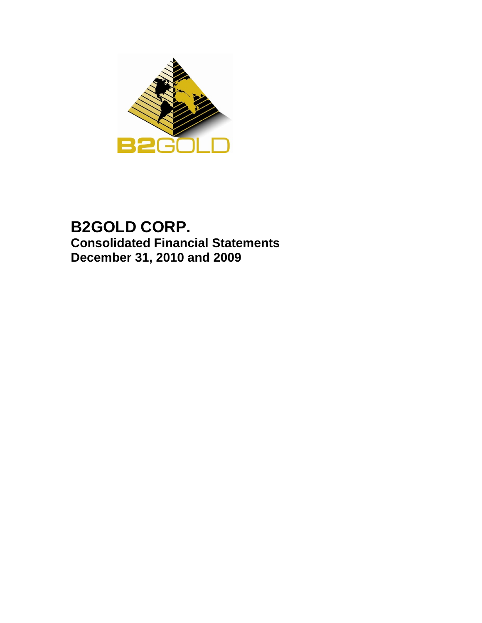

# **B2GOLD CORP. Consolidated Financial Statements December 31, 2010 and 2009**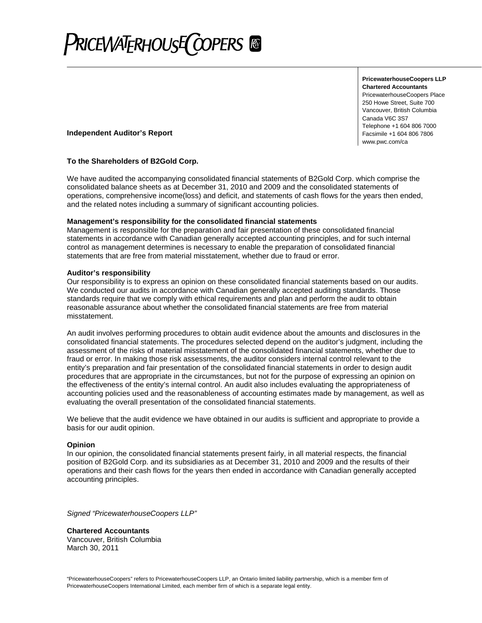

**PricewaterhouseCoopers LLP Chartered Accountants** PricewaterhouseCoopers Place 250 Howe Street, Suite 700 Vancouver, British Columbia Canada V6C 3S7 Telephone +1 604 806 7000 Facsimile +1 604 806 7806 www.pwc.com/ca

#### **Independent Auditor's Report**

#### **To the Shareholders of B2Gold Corp.**

We have audited the accompanying consolidated financial statements of B2Gold Corp. which comprise the consolidated balance sheets as at December 31, 2010 and 2009 and the consolidated statements of operations, comprehensive income(loss) and deficit, and statements of cash flows for the years then ended, and the related notes including a summary of significant accounting policies.

#### **Management's responsibility for the consolidated financial statements**

Management is responsible for the preparation and fair presentation of these consolidated financial statements in accordance with Canadian generally accepted accounting principles, and for such internal control as management determines is necessary to enable the preparation of consolidated financial statements that are free from material misstatement, whether due to fraud or error.

#### **Auditor's responsibility**

Our responsibility is to express an opinion on these consolidated financial statements based on our audits. We conducted our audits in accordance with Canadian generally accepted auditing standards. Those standards require that we comply with ethical requirements and plan and perform the audit to obtain reasonable assurance about whether the consolidated financial statements are free from material misstatement.

An audit involves performing procedures to obtain audit evidence about the amounts and disclosures in the consolidated financial statements. The procedures selected depend on the auditor's judgment, including the assessment of the risks of material misstatement of the consolidated financial statements, whether due to fraud or error. In making those risk assessments, the auditor considers internal control relevant to the entity's preparation and fair presentation of the consolidated financial statements in order to design audit procedures that are appropriate in the circumstances, but not for the purpose of expressing an opinion on the effectiveness of the entity's internal control. An audit also includes evaluating the appropriateness of accounting policies used and the reasonableness of accounting estimates made by management, as well as evaluating the overall presentation of the consolidated financial statements.

We believe that the audit evidence we have obtained in our audits is sufficient and appropriate to provide a basis for our audit opinion.

#### **Opinion**

In our opinion, the consolidated financial statements present fairly, in all material respects, the financial position of B2Gold Corp. and its subsidiaries as at December 31, 2010 and 2009 and the results of their operations and their cash flows for the years then ended in accordance with Canadian generally accepted accounting principles.

*Signed "PricewaterhouseCoopers LLP"*

**Chartered Accountants** Vancouver, British Columbia March 30, 2011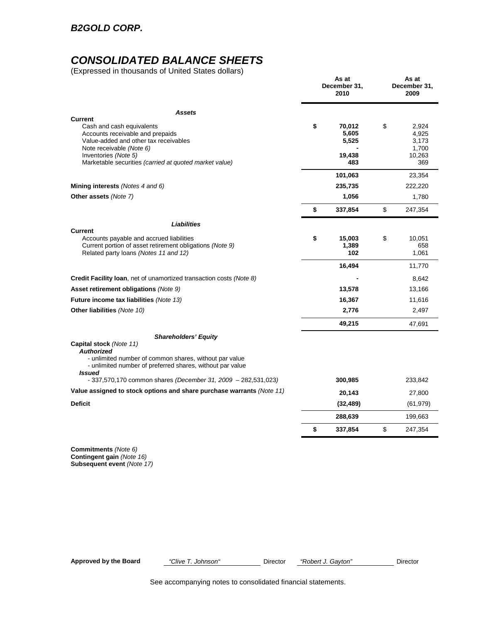# *CONSOLIDATED BALANCE SHEETS*

(Expressed in thousands of United States dollars)

|                                                                                                                                                                                                                                                                                      | As at<br>December 31,<br>2010 |                                           |    | As at<br>December 31,<br>2009                     |  |
|--------------------------------------------------------------------------------------------------------------------------------------------------------------------------------------------------------------------------------------------------------------------------------------|-------------------------------|-------------------------------------------|----|---------------------------------------------------|--|
| <b>Assets</b>                                                                                                                                                                                                                                                                        |                               |                                           |    |                                                   |  |
| <b>Current</b><br>Cash and cash equivalents<br>Accounts receivable and prepaids<br>Value-added and other tax receivables<br>Note receivable (Note 6)<br>Inventories (Note 5)<br>Marketable securities (carried at quoted market value)                                               | \$                            | 70,012<br>5,605<br>5,525<br>19,438<br>483 | \$ | 2,924<br>4,925<br>3,173<br>1,700<br>10,263<br>369 |  |
|                                                                                                                                                                                                                                                                                      |                               | 101,063                                   |    | 23,354                                            |  |
| Mining interests (Notes 4 and 6)                                                                                                                                                                                                                                                     |                               | 235,735                                   |    | 222,220                                           |  |
| Other assets (Note 7)                                                                                                                                                                                                                                                                |                               | 1,056                                     |    | 1,780                                             |  |
|                                                                                                                                                                                                                                                                                      | \$                            | 337,854                                   | \$ | 247,354                                           |  |
| <b>Liabilities</b>                                                                                                                                                                                                                                                                   |                               |                                           |    |                                                   |  |
| Current<br>Accounts payable and accrued liabilities<br>Current portion of asset retirement obligations (Note 9)<br>Related party loans (Notes 11 and 12)                                                                                                                             | \$                            | 15,003<br>1,389<br>102                    | \$ | 10,051<br>658<br>1,061                            |  |
|                                                                                                                                                                                                                                                                                      |                               | 16,494                                    |    | 11,770                                            |  |
| <b>Credit Facility Ioan, net of unamortized transaction costs (Note 8)</b>                                                                                                                                                                                                           |                               |                                           |    | 8,642                                             |  |
| Asset retirement obligations (Note 9)                                                                                                                                                                                                                                                |                               | 13,578                                    |    | 13,166                                            |  |
| Future income tax liabilities (Note 13)                                                                                                                                                                                                                                              |                               | 16,367                                    |    | 11,616                                            |  |
| Other liabilities (Note 10)                                                                                                                                                                                                                                                          |                               | 2,776                                     |    | 2,497                                             |  |
|                                                                                                                                                                                                                                                                                      |                               | 49,215                                    |    | 47,691                                            |  |
| <b>Shareholders' Equity</b><br>Capital stock (Note 11)<br><b>Authorized</b><br>- unlimited number of common shares, without par value<br>- unlimited number of preferred shares, without par value<br><b>Issued</b><br>- 337,570,170 common shares (December 31, 2009 - 282,531,023) |                               | 300,985                                   |    | 233,842                                           |  |
| Value assigned to stock options and share purchase warrants (Note 11)                                                                                                                                                                                                                |                               |                                           |    |                                                   |  |
| <b>Deficit</b>                                                                                                                                                                                                                                                                       |                               | 20,143<br>(32, 489)                       |    | 27,800<br>(61,979)                                |  |
|                                                                                                                                                                                                                                                                                      |                               | 288,639                                   |    | 199,663                                           |  |
|                                                                                                                                                                                                                                                                                      | \$                            | 337,854                                   | \$ | 247,354                                           |  |

**Commitments** *(Note 6)* **Contingent gain** *(Note 16)* **Subsequent event** *(Note 17)*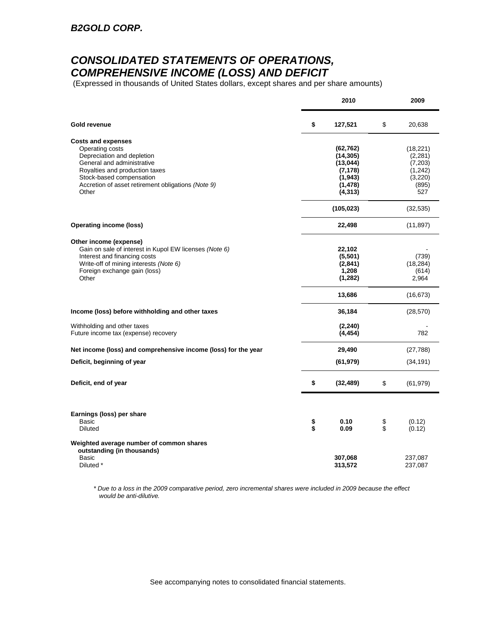# *CONSOLIDATED STATEMENTS OF OPERATIONS, COMPREHENSIVE INCOME (LOSS) AND DEFICIT*

(Expressed in thousands of United States dollars, except shares and per share amounts)

|                                                                                                                                                                                                                                       | 2010     |                                                                                     |          | 2009                                                                   |  |
|---------------------------------------------------------------------------------------------------------------------------------------------------------------------------------------------------------------------------------------|----------|-------------------------------------------------------------------------------------|----------|------------------------------------------------------------------------|--|
| Gold revenue                                                                                                                                                                                                                          | \$       | 127,521                                                                             | \$       | 20,638                                                                 |  |
| <b>Costs and expenses</b><br>Operating costs<br>Depreciation and depletion<br>General and administrative<br>Royalties and production taxes<br>Stock-based compensation<br>Accretion of asset retirement obligations (Note 9)<br>Other |          | (62, 762)<br>(14, 305)<br>(13, 044)<br>(7, 178)<br>(1, 943)<br>(1, 478)<br>(4, 313) |          | (18, 221)<br>(2, 281)<br>(7,203)<br>(1,242)<br>(3,220)<br>(895)<br>527 |  |
|                                                                                                                                                                                                                                       |          | (105, 023)                                                                          |          | (32, 535)                                                              |  |
| <b>Operating income (loss)</b>                                                                                                                                                                                                        |          | 22,498                                                                              |          | (11, 897)                                                              |  |
| Other income (expense)<br>Gain on sale of interest in Kupol EW licenses (Note 6)<br>Interest and financing costs<br>Write-off of mining interests (Note 6)<br>Foreign exchange gain (loss)<br>Other                                   |          | 22,102<br>(5,501)<br>(2,841)<br>1,208<br>(1, 282)                                   |          | (739)<br>(18, 284)<br>(614)<br>2,964                                   |  |
|                                                                                                                                                                                                                                       |          | 13,686                                                                              |          | (16, 673)                                                              |  |
| Income (loss) before withholding and other taxes                                                                                                                                                                                      |          | 36,184                                                                              |          | (28, 570)                                                              |  |
| Withholding and other taxes<br>Future income tax (expense) recovery                                                                                                                                                                   |          | (2, 240)<br>(4, 454)                                                                |          | 782                                                                    |  |
| Net income (loss) and comprehensive income (loss) for the year                                                                                                                                                                        |          | 29,490                                                                              |          | (27, 788)                                                              |  |
| Deficit, beginning of year                                                                                                                                                                                                            |          | (61, 979)                                                                           |          | (34, 191)                                                              |  |
| Deficit, end of year                                                                                                                                                                                                                  | \$       | (32, 489)                                                                           | \$       | (61, 979)                                                              |  |
| Earnings (loss) per share<br><b>Basic</b><br><b>Diluted</b>                                                                                                                                                                           | \$<br>\$ | 0.10<br>0.09                                                                        | \$<br>\$ | (0.12)<br>(0.12)                                                       |  |
| Weighted average number of common shares<br>outstanding (in thousands)<br>Basic<br>Diluted *                                                                                                                                          |          | 307,068<br>313,572                                                                  |          | 237,087<br>237,087                                                     |  |

*\* Due to a loss in the 2009 comparative period, zero incremental shares were included in 2009 because the effect would be anti-dilutive.*

See accompanying notes to consolidated financial statements.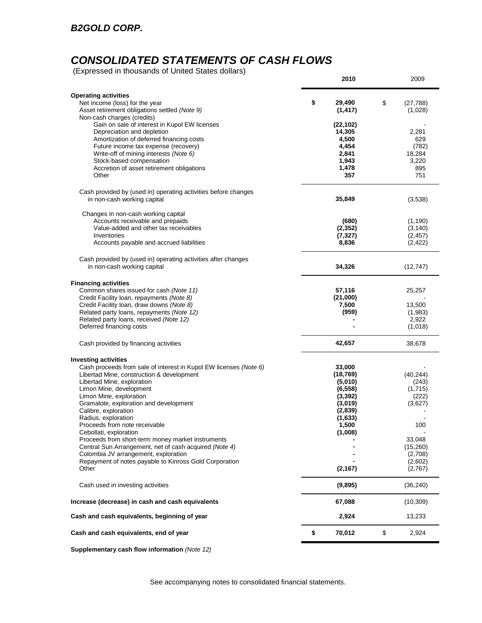# *CONSOLIDATED STATEMENTS OF CASH FLOWS*

(Expressed in thousands of United States dollars)

|                                                                                                                                                                                                                                                                                                                                                                                                                                                                                                                                                                                                                                                      | 2010                                                                                                                               | 2009                                                                                                                         |
|------------------------------------------------------------------------------------------------------------------------------------------------------------------------------------------------------------------------------------------------------------------------------------------------------------------------------------------------------------------------------------------------------------------------------------------------------------------------------------------------------------------------------------------------------------------------------------------------------------------------------------------------------|------------------------------------------------------------------------------------------------------------------------------------|------------------------------------------------------------------------------------------------------------------------------|
| <b>Operating activities</b><br>Net income (loss) for the year<br>Asset retirement obligations settled (Note 9)                                                                                                                                                                                                                                                                                                                                                                                                                                                                                                                                       | \$<br>29,490<br>(1, 417)                                                                                                           | \$<br>(27, 788)<br>(1,028)                                                                                                   |
| Non-cash charges (credits)<br>Gain on sale of interest in Kupol EW licenses<br>Depreciation and depletion<br>Amortization of deferred financing costs<br>Future income tax expense (recovery)<br>Write-off of mining interests (Note 6)<br>Stock-based compensation<br>Accretion of asset retirement obligations                                                                                                                                                                                                                                                                                                                                     | (22, 102)<br>14,305<br>4,500<br>4,454<br>2,841<br>1,943<br>1,478                                                                   | 2,281<br>629<br>(782)<br>18,284<br>3,220<br>895                                                                              |
| Other                                                                                                                                                                                                                                                                                                                                                                                                                                                                                                                                                                                                                                                | 357                                                                                                                                | 751                                                                                                                          |
| Cash provided by (used in) operating activities before changes<br>in non-cash working capital                                                                                                                                                                                                                                                                                                                                                                                                                                                                                                                                                        | 35,849                                                                                                                             | (3,538)                                                                                                                      |
| Changes in non-cash working capital<br>Accounts receivable and prepaids<br>Value-added and other tax receivables<br>Inventories<br>Accounts payable and accrued liabilities                                                                                                                                                                                                                                                                                                                                                                                                                                                                          | (680)<br>(2, 352)<br>(7, 327)<br>8,836                                                                                             | (1, 190)<br>(3, 140)<br>(2, 457)<br>(2, 422)                                                                                 |
| Cash provided by (used in) operating activities after changes<br>in non-cash working capital                                                                                                                                                                                                                                                                                                                                                                                                                                                                                                                                                         | 34,326                                                                                                                             | (12, 747)                                                                                                                    |
| <b>Financing activities</b><br>Common shares issued for cash (Note 11)<br>Credit Facility Ioan, repayments (Note 8)                                                                                                                                                                                                                                                                                                                                                                                                                                                                                                                                  | 57,116<br>(21,000)                                                                                                                 | 25,257                                                                                                                       |
| Credit Facility Ioan, draw downs (Note 8)<br>Related party loans, repayments (Note 12)<br>Related party loans, received (Note 12)<br>Deferred financing costs                                                                                                                                                                                                                                                                                                                                                                                                                                                                                        | 7,500<br>(959)                                                                                                                     | 13,500<br>(1,983)<br>2,922<br>(1,018)                                                                                        |
| Cash provided by financing activities                                                                                                                                                                                                                                                                                                                                                                                                                                                                                                                                                                                                                | 42,657                                                                                                                             | 38,678                                                                                                                       |
| <b>Investing activities</b><br>Cash proceeds from sale of interest in Kupol EW licenses (Note 6)<br>Libertad Mine, construction & development<br>Libertad Mine, exploration<br>Limon Mine, development<br>Limon Mine, exploration<br>Gramalote, exploration and development<br>Calibre, exploration<br>Radius, exploration<br>Proceeds from note receivable<br>Cebollati, exploration<br>Proceeds from short-term money market instruments<br>Central Sun Arrangement, net of cash acquired (Note 4)<br>Colombia JV arrangement, exploration<br>Repayment of notes payable to Kinross Gold Corporation<br>Other<br>Cash used in investing activities | 33,000<br>(18, 769)<br>(5,010)<br>(6, 558)<br>(3, 392)<br>(3,019)<br>(2,839)<br>(1,633)<br>1,500<br>(1,008)<br>(2, 167)<br>(9,895) | (40, 244)<br>(243)<br>(1,715)<br>(222)<br>(3,627)<br>100<br>33,048<br>(15,260)<br>(2,708)<br>(2,602)<br>(2,767)<br>(36, 240) |
| Increase (decrease) in cash and cash equivalents                                                                                                                                                                                                                                                                                                                                                                                                                                                                                                                                                                                                     | 67,088                                                                                                                             | (10, 309)                                                                                                                    |
| Cash and cash equivalents, beginning of year                                                                                                                                                                                                                                                                                                                                                                                                                                                                                                                                                                                                         | 2,924                                                                                                                              | 13,233                                                                                                                       |
| Cash and cash equivalents, end of year                                                                                                                                                                                                                                                                                                                                                                                                                                                                                                                                                                                                               | \$<br>70,012                                                                                                                       | \$<br>2,924                                                                                                                  |

**Supplementary cash flow information** *(Note 12)*

See accompanying notes to consolidated financial statements.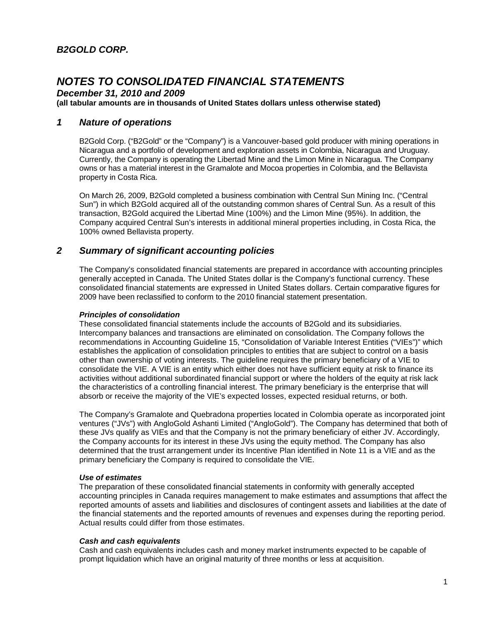*December 31, 2010 and 2009*

**(all tabular amounts are in thousands of United States dollars unless otherwise stated)**

### *1 Nature of operations*

B2Gold Corp. ("B2Gold" or the "Company") is a Vancouver-based gold producer with mining operations in Nicaragua and a portfolio of development and exploration assets in Colombia, Nicaragua and Uruguay. Currently, the Company is operating the Libertad Mine and the Limon Mine in Nicaragua. The Company owns or has a material interest in the Gramalote and Mocoa properties in Colombia, and the Bellavista property in Costa Rica.

On March 26, 2009, B2Gold completed a business combination with Central Sun Mining Inc. ("Central Sun") in which B2Gold acquired all of the outstanding common shares of Central Sun. As a result of this transaction, B2Gold acquired the Libertad Mine (100%) and the Limon Mine (95%). In addition, the Company acquired Central Sun's interests in additional mineral properties including, in Costa Rica, the 100% owned Bellavista property.

### *2 Summary of significant accounting policies*

The Company's consolidated financial statements are prepared in accordance with accounting principles generally accepted in Canada. The United States dollar is the Company's functional currency. These consolidated financial statements are expressed in United States dollars. Certain comparative figures for 2009 have been reclassified to conform to the 2010 financial statement presentation.

#### *Principles of consolidation*

These consolidated financial statements include the accounts of B2Gold and its subsidiaries. Intercompany balances and transactions are eliminated on consolidation. The Company follows the recommendations in Accounting Guideline 15, "Consolidation of Variable Interest Entities ("VIEs")" which establishes the application of consolidation principles to entities that are subject to control on a basis other than ownership of voting interests. The guideline requires the primary beneficiary of a VIE to consolidate the VIE. A VIE is an entity which either does not have sufficient equity at risk to finance its activities without additional subordinated financial support or where the holders of the equity at risk lack the characteristics of a controlling financial interest. The primary beneficiary is the enterprise that will absorb or receive the majority of the VIE's expected losses, expected residual returns, or both.

The Company's Gramalote and Quebradona properties located in Colombia operate as incorporated joint ventures ("JVs") with AngloGold Ashanti Limited ("AngloGold"). The Company has determined that both of these JVs qualify as VIEs and that the Company is not the primary beneficiary of either JV. Accordingly, the Company accounts for its interest in these JVs using the equity method. The Company has also determined that the trust arrangement under its Incentive Plan identified in Note 11 is a VIE and as the primary beneficiary the Company is required to consolidate the VIE.

#### *Use of estimates*

The preparation of these consolidated financial statements in conformity with generally accepted accounting principles in Canada requires management to make estimates and assumptions that affect the reported amounts of assets and liabilities and disclosures of contingent assets and liabilities at the date of the financial statements and the reported amounts of revenues and expenses during the reporting period. Actual results could differ from those estimates.

#### *Cash and cash equivalents*

Cash and cash equivalents includes cash and money market instruments expected to be capable of prompt liquidation which have an original maturity of three months or less at acquisition.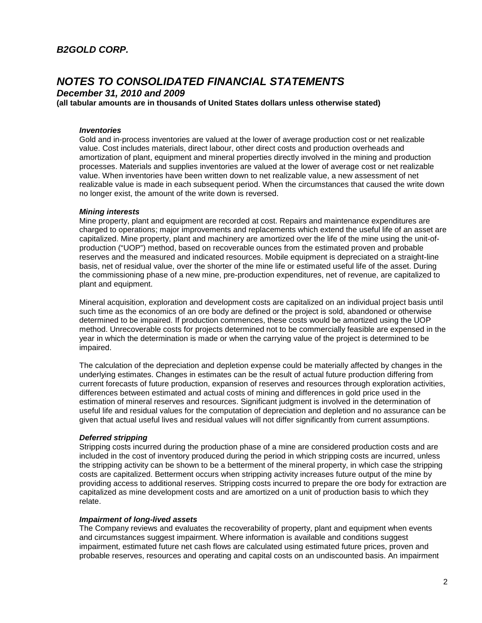## *B2GOLD CORP.*

## *NOTES TO CONSOLIDATED FINANCIAL STATEMENTS*

*December 31, 2010 and 2009*

**(all tabular amounts are in thousands of United States dollars unless otherwise stated)**

#### *Inventories*

Gold and in-process inventories are valued at the lower of average production cost or net realizable value. Cost includes materials, direct labour, other direct costs and production overheads and amortization of plant, equipment and mineral properties directly involved in the mining and production processes. Materials and supplies inventories are valued at the lower of average cost or net realizable value. When inventories have been written down to net realizable value, a new assessment of net realizable value is made in each subsequent period. When the circumstances that caused the write down no longer exist, the amount of the write down is reversed.

#### *Mining interests*

Mine property, plant and equipment are recorded at cost. Repairs and maintenance expenditures are charged to operations; major improvements and replacements which extend the useful life of an asset are capitalized. Mine property, plant and machinery are amortized over the life of the mine using the unit-ofproduction ("UOP") method, based on recoverable ounces from the estimated proven and probable reserves and the measured and indicated resources. Mobile equipment is depreciated on a straight-line basis, net of residual value, over the shorter of the mine life or estimated useful life of the asset. During the commissioning phase of a new mine, pre-production expenditures, net of revenue, are capitalized to plant and equipment.

Mineral acquisition, exploration and development costs are capitalized on an individual project basis until such time as the economics of an ore body are defined or the project is sold, abandoned or otherwise determined to be impaired. If production commences, these costs would be amortized using the UOP method. Unrecoverable costs for projects determined not to be commercially feasible are expensed in the year in which the determination is made or when the carrying value of the project is determined to be impaired.

The calculation of the depreciation and depletion expense could be materially affected by changes in the underlying estimates. Changes in estimates can be the result of actual future production differing from current forecasts of future production, expansion of reserves and resources through exploration activities, differences between estimated and actual costs of mining and differences in gold price used in the estimation of mineral reserves and resources. Significant judgment is involved in the determination of useful life and residual values for the computation of depreciation and depletion and no assurance can be given that actual useful lives and residual values will not differ significantly from current assumptions.

#### *Deferred stripping*

Stripping costs incurred during the production phase of a mine are considered production costs and are included in the cost of inventory produced during the period in which stripping costs are incurred, unless the stripping activity can be shown to be a betterment of the mineral property, in which case the stripping costs are capitalized. Betterment occurs when stripping activity increases future output of the mine by providing access to additional reserves. Stripping costs incurred to prepare the ore body for extraction are capitalized as mine development costs and are amortized on a unit of production basis to which they relate.

#### *Impairment of long-lived assets*

The Company reviews and evaluates the recoverability of property, plant and equipment when events and circumstances suggest impairment. Where information is available and conditions suggest impairment, estimated future net cash flows are calculated using estimated future prices, proven and probable reserves, resources and operating and capital costs on an undiscounted basis. An impairment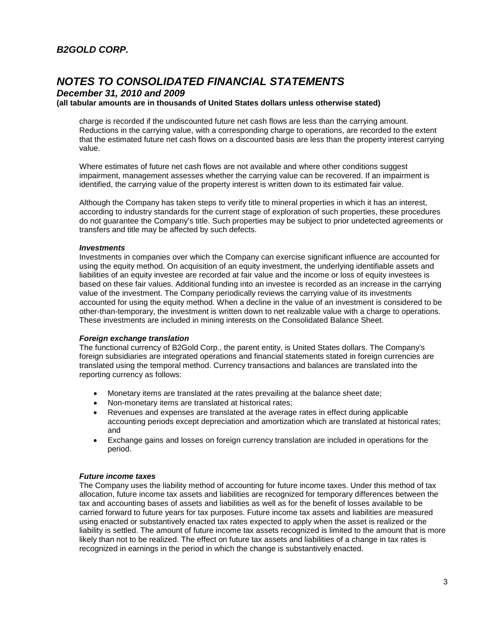*December 31, 2010 and 2009*

**(all tabular amounts are in thousands of United States dollars unless otherwise stated)**

charge is recorded if the undiscounted future net cash flows are less than the carrying amount. Reductions in the carrying value, with a corresponding charge to operations, are recorded to the extent that the estimated future net cash flows on a discounted basis are less than the property interest carrying value.

Where estimates of future net cash flows are not available and where other conditions suggest impairment, management assesses whether the carrying value can be recovered. If an impairment is identified, the carrying value of the property interest is written down to its estimated fair value.

Although the Company has taken steps to verify title to mineral properties in which it has an interest, according to industry standards for the current stage of exploration of such properties, these procedures do not guarantee the Company's title. Such properties may be subject to prior undetected agreements or transfers and title may be affected by such defects.

#### *Investments*

Investments in companies over which the Company can exercise significant influence are accounted for using the equity method. On acquisition of an equity investment, the underlying identifiable assets and liabilities of an equity investee are recorded at fair value and the income or loss of equity investees is based on these fair values. Additional funding into an investee is recorded as an increase in the carrying value of the investment. The Company periodically reviews the carrying value of its investments accounted for using the equity method. When a decline in the value of an investment is considered to be other-than-temporary, the investment is written down to net realizable value with a charge to operations. These investments are included in mining interests on the Consolidated Balance Sheet.

#### *Foreign exchange translation*

The functional currency of B2Gold Corp., the parent entity, is United States dollars. The Company's foreign subsidiaries are integrated operations and financial statements stated in foreign currencies are translated using the temporal method. Currency transactions and balances are translated into the reporting currency as follows:

- Monetary items are translated at the rates prevailing at the balance sheet date;
- Non-monetary items are translated at historical rates;
- Revenues and expenses are translated at the average rates in effect during applicable accounting periods except depreciation and amortization which are translated at historical rates; and
- Exchange gains and losses on foreign currency translation are included in operations for the period.

#### *Future income taxes*

The Company uses the liability method of accounting for future income taxes. Under this method of tax allocation, future income tax assets and liabilities are recognized for temporary differences between the tax and accounting bases of assets and liabilities as well as for the benefit of losses available to be carried forward to future years for tax purposes. Future income tax assets and liabilities are measured using enacted or substantively enacted tax rates expected to apply when the asset is realized or the liability is settled. The amount of future income tax assets recognized is limited to the amount that is more likely than not to be realized. The effect on future tax assets and liabilities of a change in tax rates is recognized in earnings in the period in which the change is substantively enacted.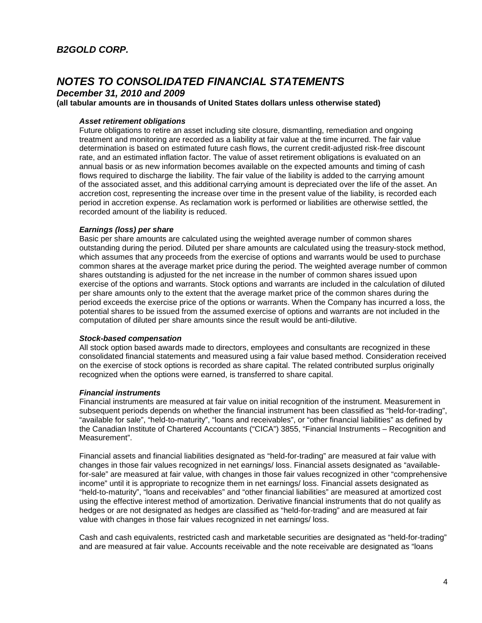*December 31, 2010 and 2009*

**(all tabular amounts are in thousands of United States dollars unless otherwise stated)**

#### *Asset retirement obligations*

Future obligations to retire an asset including site closure, dismantling, remediation and ongoing treatment and monitoring are recorded as a liability at fair value at the time incurred. The fair value determination is based on estimated future cash flows, the current credit-adjusted risk-free discount rate, and an estimated inflation factor. The value of asset retirement obligations is evaluated on an annual basis or as new information becomes available on the expected amounts and timing of cash flows required to discharge the liability. The fair value of the liability is added to the carrying amount of the associated asset, and this additional carrying amount is depreciated over the life of the asset. An accretion cost, representing the increase over time in the present value of the liability, is recorded each period in accretion expense. As reclamation work is performed or liabilities are otherwise settled, the recorded amount of the liability is reduced.

#### *Earnings (loss) per share*

Basic per share amounts are calculated using the weighted average number of common shares outstanding during the period. Diluted per share amounts are calculated using the treasury-stock method, which assumes that any proceeds from the exercise of options and warrants would be used to purchase common shares at the average market price during the period. The weighted average number of common shares outstanding is adjusted for the net increase in the number of common shares issued upon exercise of the options and warrants. Stock options and warrants are included in the calculation of diluted per share amounts only to the extent that the average market price of the common shares during the period exceeds the exercise price of the options or warrants. When the Company has incurred a loss, the potential shares to be issued from the assumed exercise of options and warrants are not included in the computation of diluted per share amounts since the result would be anti-dilutive.

#### *Stock-based compensation*

All stock option based awards made to directors, employees and consultants are recognized in these consolidated financial statements and measured using a fair value based method. Consideration received on the exercise of stock options is recorded as share capital. The related contributed surplus originally recognized when the options were earned, is transferred to share capital.

#### *Financial instruments*

Financial instruments are measured at fair value on initial recognition of the instrument. Measurement in subsequent periods depends on whether the financial instrument has been classified as "held-for-trading", "available for sale", "held-to-maturity", "loans and receivables", or "other financial liabilities" as defined by the Canadian Institute of Chartered Accountants ("CICA") 3855, "Financial Instruments – Recognition and Measurement".

Financial assets and financial liabilities designated as "held-for-trading" are measured at fair value with changes in those fair values recognized in net earnings/ loss. Financial assets designated as "availablefor-sale" are measured at fair value, with changes in those fair values recognized in other "comprehensive income" until it is appropriate to recognize them in net earnings/ loss. Financial assets designated as "held-to-maturity", "loans and receivables" and "other financial liabilities" are measured at amortized cost using the effective interest method of amortization. Derivative financial instruments that do not qualify as hedges or are not designated as hedges are classified as "held-for-trading" and are measured at fair value with changes in those fair values recognized in net earnings/ loss.

Cash and cash equivalents, restricted cash and marketable securities are designated as "held-for-trading" and are measured at fair value. Accounts receivable and the note receivable are designated as "loans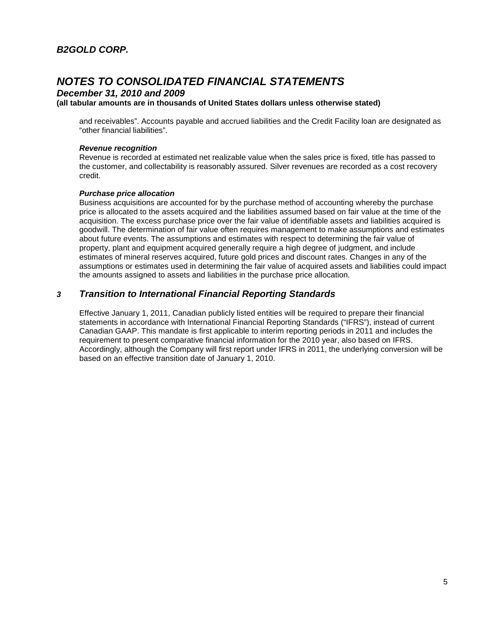*December 31, 2010 and 2009*

**(all tabular amounts are in thousands of United States dollars unless otherwise stated)**

and receivables". Accounts payable and accrued liabilities and the Credit Facility loan are designated as "other financial liabilities".

#### *Revenue recognition*

Revenue is recorded at estimated net realizable value when the sales price is fixed, title has passed to the customer, and collectability is reasonably assured. Silver revenues are recorded as a cost recovery credit.

#### *Purchase price allocation*

Business acquisitions are accounted for by the purchase method of accounting whereby the purchase price is allocated to the assets acquired and the liabilities assumed based on fair value at the time of the acquisition. The excess purchase price over the fair value of identifiable assets and liabilities acquired is goodwill. The determination of fair value often requires management to make assumptions and estimates about future events. The assumptions and estimates with respect to determining the fair value of property, plant and equipment acquired generally require a high degree of judgment, and include estimates of mineral reserves acquired, future gold prices and discount rates. Changes in any of the assumptions or estimates used in determining the fair value of acquired assets and liabilities could impact the amounts assigned to assets and liabilities in the purchase price allocation.

### *3 Transition to International Financial Reporting Standards*

Effective January 1, 2011, Canadian publicly listed entities will be required to prepare their financial statements in accordance with International Financial Reporting Standards ("IFRS"), instead of current Canadian GAAP. This mandate is first applicable to interim reporting periods in 2011 and includes the requirement to present comparative financial information for the 2010 year, also based on IFRS. Accordingly, although the Company will first report under IFRS in 2011, the underlying conversion will be based on an effective transition date of January 1, 2010.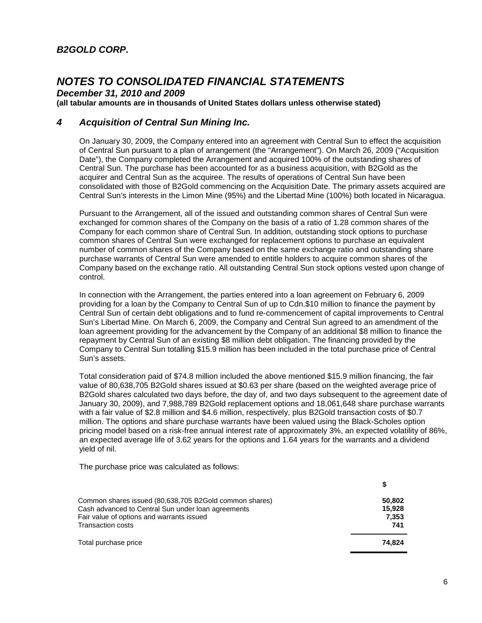*December 31, 2010 and 2009*

**(all tabular amounts are in thousands of United States dollars unless otherwise stated)**

### *4 Acquisition of Central Sun Mining Inc.*

On January 30, 2009, the Company entered into an agreement with Central Sun to effect the acquisition of Central Sun pursuant to a plan of arrangement (the "Arrangement"). On March 26, 2009 ("Acquisition Date"), the Company completed the Arrangement and acquired 100% of the outstanding shares of Central Sun. The purchase has been accounted for as a business acquisition, with B2Gold as the acquirer and Central Sun as the acquiree. The results of operations of Central Sun have been consolidated with those of B2Gold commencing on the Acquisition Date. The primary assets acquired are Central Sun's interests in the Limon Mine (95%) and the Libertad Mine (100%) both located in Nicaragua.

Pursuant to the Arrangement, all of the issued and outstanding common shares of Central Sun were exchanged for common shares of the Company on the basis of a ratio of 1.28 common shares of the Company for each common share of Central Sun. In addition, outstanding stock options to purchase common shares of Central Sun were exchanged for replacement options to purchase an equivalent number of common shares of the Company based on the same exchange ratio and outstanding share purchase warrants of Central Sun were amended to entitle holders to acquire common shares of the Company based on the exchange ratio. All outstanding Central Sun stock options vested upon change of control.

In connection with the Arrangement, the parties entered into a loan agreement on February 6, 2009 providing for a loan by the Company to Central Sun of up to Cdn.\$10 million to finance the payment by Central Sun of certain debt obligations and to fund re-commencement of capital improvements to Central Sun's Libertad Mine. On March 6, 2009, the Company and Central Sun agreed to an amendment of the loan agreement providing for the advancement by the Company of an additional \$8 million to finance the repayment by Central Sun of an existing \$8 million debt obligation. The financing provided by the Company to Central Sun totalling \$15.9 million has been included in the total purchase price of Central Sun's assets.

Total consideration paid of \$74.8 million included the above mentioned \$15.9 million financing, the fair value of 80,638,705 B2Gold shares issued at \$0.63 per share (based on the weighted average price of B2Gold shares calculated two days before, the day of, and two days subsequent to the agreement date of January 30, 2009), and 7,988,789 B2Gold replacement options and 18,061,648 share purchase warrants with a fair value of \$2.8 million and \$4.6 million, respectively, plus B2Gold transaction costs of \$0.7 million. The options and share purchase warrants have been valued using the Black-Scholes option pricing model based on a risk-free annual interest rate of approximately 3%, an expected volatility of 86%, an expected average life of 3.62 years for the options and 1.64 years for the warrants and a dividend yield of nil.

The purchase price was calculated as follows:

| Common shares issued (80,638,705 B2Gold common shares) | 50,802 |
|--------------------------------------------------------|--------|
| Cash advanced to Central Sun under loan agreements     | 15.928 |
| Fair value of options and warrants issued              | 7.353  |
| <b>Transaction costs</b>                               | 741    |
| Total purchase price                                   | 74.824 |
|                                                        |        |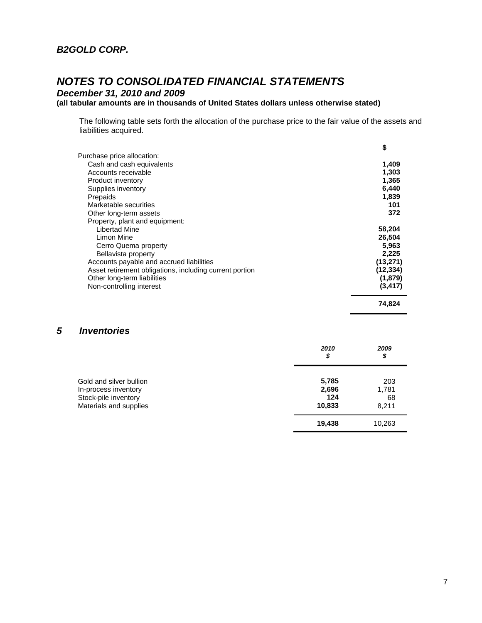*December 31, 2010 and 2009*

#### **(all tabular amounts are in thousands of United States dollars unless otherwise stated)**

The following table sets forth the allocation of the purchase price to the fair value of the assets and liabilities acquired.

|                                                         | \$        |
|---------------------------------------------------------|-----------|
| Purchase price allocation:                              |           |
| Cash and cash equivalents                               | 1,409     |
| Accounts receivable                                     | 1,303     |
| Product inventory                                       | 1,365     |
| Supplies inventory                                      | 6,440     |
| Prepaids                                                | 1,839     |
| Marketable securities                                   | 101       |
| Other long-term assets                                  | 372       |
| Property, plant and equipment:                          |           |
| Libertad Mine                                           | 58,204    |
| Limon Mine                                              | 26,504    |
| Cerro Quema property                                    | 5,963     |
| Bellavista property                                     | 2,225     |
| Accounts payable and accrued liabilities                | (13, 271) |
| Asset retirement obligations, including current portion | (12, 334) |
| Other long-term liabilities                             | (1,879)   |
| Non-controlling interest                                | (3, 417)  |
|                                                         | 74,824    |

## *5 Inventories*

|                                                                         | 2010<br>\$            | 2009<br>\$         |
|-------------------------------------------------------------------------|-----------------------|--------------------|
| Gold and silver bullion<br>In-process inventory<br>Stock-pile inventory | 5,785<br>2,696<br>124 | 203<br>1,781<br>68 |
| Materials and supplies                                                  | 10,833                | 8,211              |
|                                                                         | 19,438                | 10,263             |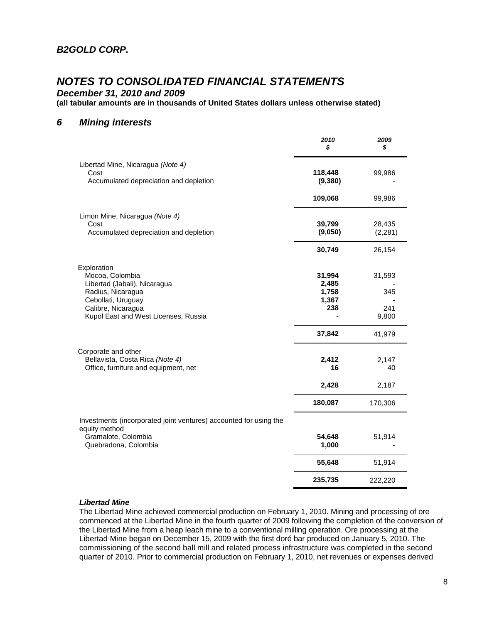*December 31, 2010 and 2009*

**(all tabular amounts are in thousands of United States dollars unless otherwise stated)**

### *6 Mining interests*

|                                                                                     | 2010<br>\$          | 2009<br>\$   |
|-------------------------------------------------------------------------------------|---------------------|--------------|
| Libertad Mine, Nicaragua (Note 4)<br>Cost<br>Accumulated depreciation and depletion | 118,448<br>(9, 380) | 99,986       |
|                                                                                     | 109,068             | 99,986       |
| Limon Mine, Nicaragua (Note 4)<br>Cost                                              | 39,799              | 28,435       |
| Accumulated depreciation and depletion                                              | (9,050)             | (2, 281)     |
|                                                                                     | 30,749              | 26,154       |
| Exploration<br>Mocoa, Colombia<br>Libertad (Jabali), Nicaragua                      | 31,994<br>2,485     | 31,593       |
| Radius, Nicaragua<br>Cebollati, Uruguay                                             | 1,758<br>1,367      | 345          |
| Calibre, Nicaragua<br>Kupol East and West Licenses, Russia                          | 238                 | 241<br>9,800 |
|                                                                                     | 37,842              | 41,979       |
| Corporate and other                                                                 |                     |              |
| Bellavista, Costa Rica (Note 4)<br>Office, furniture and equipment, net             | 2,412<br>16         | 2,147<br>40  |
|                                                                                     | 2,428               | 2,187        |
|                                                                                     | 180,087             | 170,306      |
| Investments (incorporated joint ventures) accounted for using the<br>equity method  |                     |              |
| Gramalote, Colombia<br>Quebradona, Colombia                                         | 54,648<br>1,000     | 51,914       |
|                                                                                     | 55,648              | 51,914       |
|                                                                                     | 235,735             | 222,220      |

#### *Libertad Mine*

The Libertad Mine achieved commercial production on February 1, 2010. Mining and processing of ore commenced at the Libertad Mine in the fourth quarter of 2009 following the completion of the conversion of the Libertad Mine from a heap leach mine to a conventional milling operation. Ore processing at the Libertad Mine began on December 15, 2009 with the first doré bar produced on January 5, 2010. The commissioning of the second ball mill and related process infrastructure was completed in the second quarter of 2010. Prior to commercial production on February 1, 2010, net revenues or expenses derived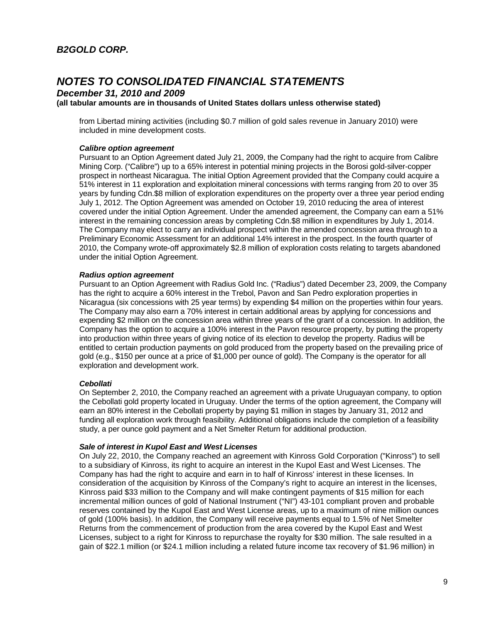*December 31, 2010 and 2009*

**(all tabular amounts are in thousands of United States dollars unless otherwise stated)**

from Libertad mining activities (including \$0.7 million of gold sales revenue in January 2010) were included in mine development costs.

#### *Calibre option agreement*

Pursuant to an Option Agreement dated July 21, 2009, the Company had the right to acquire from Calibre Mining Corp. ("Calibre") up to a 65% interest in potential mining projects in the Borosi gold-silver-copper prospect in northeast Nicaragua. The initial Option Agreement provided that the Company could acquire a 51% interest in 11 exploration and exploitation mineral concessions with terms ranging from 20 to over 35 years by funding Cdn.\$8 million of exploration expenditures on the property over a three year period ending July 1, 2012. The Option Agreement was amended on October 19, 2010 reducing the area of interest covered under the initial Option Agreement. Under the amended agreement, the Company can earn a 51% interest in the remaining concession areas by completing Cdn.\$8 million in expenditures by July 1, 2014. The Company may elect to carry an individual prospect within the amended concession area through to a Preliminary Economic Assessment for an additional 14% interest in the prospect. In the fourth quarter of 2010, the Company wrote-off approximately \$2.8 million of exploration costs relating to targets abandoned under the initial Option Agreement.

#### *Radius option agreement*

Pursuant to an Option Agreement with Radius Gold Inc. ("Radius") dated December 23, 2009, the Company has the right to acquire a 60% interest in the Trebol, Pavon and San Pedro exploration properties in Nicaragua (six concessions with 25 year terms) by expending \$4 million on the properties within four years. The Company may also earn a 70% interest in certain additional areas by applying for concessions and expending \$2 million on the concession area within three years of the grant of a concession. In addition, the Company has the option to acquire a 100% interest in the Pavon resource property, by putting the property into production within three years of giving notice of its election to develop the property. Radius will be entitled to certain production payments on gold produced from the property based on the prevailing price of gold (e.g., \$150 per ounce at a price of \$1,000 per ounce of gold). The Company is the operator for all exploration and development work.

#### *Cebollati*

On September 2, 2010, the Company reached an agreement with a private Uruguayan company, to option the Cebollati gold property located in Uruguay. Under the terms of the option agreement, the Company will earn an 80% interest in the Cebollati property by paying \$1 million in stages by January 31, 2012 and funding all exploration work through feasibility. Additional obligations include the completion of a feasibility study, a per ounce gold payment and a Net Smelter Return for additional production.

#### *Sale of interest in Kupol East and West Licenses*

On July 22, 2010, the Company reached an agreement with Kinross Gold Corporation ("Kinross") to sell to a subsidiary of Kinross, its right to acquire an interest in the Kupol East and West Licenses. The Company has had the right to acquire and earn in to half of Kinross' interest in these licenses. In consideration of the acquisition by Kinross of the Company's right to acquire an interest in the licenses, Kinross paid \$33 million to the Company and will make contingent payments of \$15 million for each incremental million ounces of gold of National Instrument ("NI") 43-101 compliant proven and probable reserves contained by the Kupol East and West License areas, up to a maximum of nine million ounces of gold (100% basis). In addition, the Company will receive payments equal to 1.5% of Net Smelter Returns from the commencement of production from the area covered by the Kupol East and West Licenses, subject to a right for Kinross to repurchase the royalty for \$30 million. The sale resulted in a gain of \$22.1 million (or \$24.1 million including a related future income tax recovery of \$1.96 million) in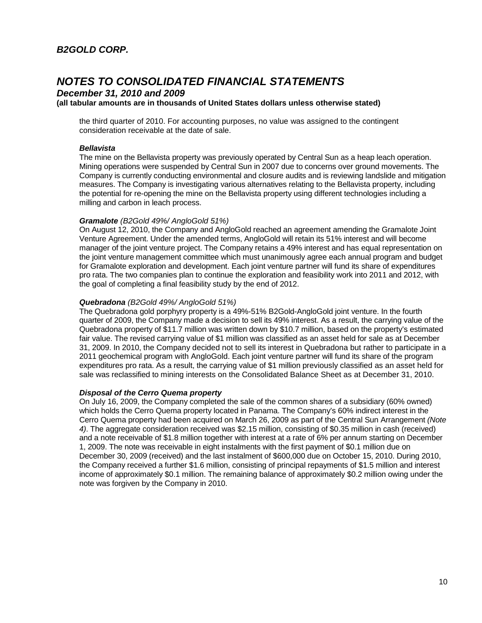*December 31, 2010 and 2009*

**(all tabular amounts are in thousands of United States dollars unless otherwise stated)**

the third quarter of 2010. For accounting purposes, no value was assigned to the contingent consideration receivable at the date of sale.

#### *Bellavista*

The mine on the Bellavista property was previously operated by Central Sun as a heap leach operation. Mining operations were suspended by Central Sun in 2007 due to concerns over ground movements. The Company is currently conducting environmental and closure audits and is reviewing landslide and mitigation measures. The Company is investigating various alternatives relating to the Bellavista property, including the potential for re-opening the mine on the Bellavista property using different technologies including a milling and carbon in leach process.

#### *Gramalote (B2Gold 49%/ AngloGold 51%)*

On August 12, 2010, the Company and AngloGold reached an agreement amending the Gramalote Joint Venture Agreement. Under the amended terms, AngloGold will retain its 51% interest and will become manager of the joint venture project. The Company retains a 49% interest and has equal representation on the joint venture management committee which must unanimously agree each annual program and budget for Gramalote exploration and development. Each joint venture partner will fund its share of expenditures pro rata. The two companies plan to continue the exploration and feasibility work into 2011 and 2012, with the goal of completing a final feasibility study by the end of 2012.

#### *Quebradona (B2Gold 49%/ AngloGold 51%)*

The Quebradona gold porphyry property is a 49%-51% B2Gold-AngloGold joint venture. In the fourth quarter of 2009, the Company made a decision to sell its 49% interest. As a result, the carrying value of the Quebradona property of \$11.7 million was written down by \$10.7 million, based on the property's estimated fair value. The revised carrying value of \$1 million was classified as an asset held for sale as at December 31, 2009. In 2010, the Company decided not to sell its interest in Quebradona but rather to participate in a 2011 geochemical program with AngloGold. Each joint venture partner will fund its share of the program expenditures pro rata. As a result, the carrying value of \$1 million previously classified as an asset held for sale was reclassified to mining interests on the Consolidated Balance Sheet as at December 31, 2010.

#### *Disposal of the Cerro Quema property*

On July 16, 2009, the Company completed the sale of the common shares of a subsidiary (60% owned) which holds the Cerro Quema property located in Panama. The Company's 60% indirect interest in the Cerro Quema property had been acquired on March 26, 2009 as part of the Central Sun Arrangement *(Note 4)*. The aggregate consideration received was \$2.15 million, consisting of \$0.35 million in cash (received) and a note receivable of \$1.8 million together with interest at a rate of 6% per annum starting on December 1, 2009. The note was receivable in eight instalments with the first payment of \$0.1 million due on December 30, 2009 (received) and the last instalment of \$600,000 due on October 15, 2010. During 2010, the Company received a further \$1.6 million, consisting of principal repayments of \$1.5 million and interest income of approximately \$0.1 million. The remaining balance of approximately \$0.2 million owing under the note was forgiven by the Company in 2010.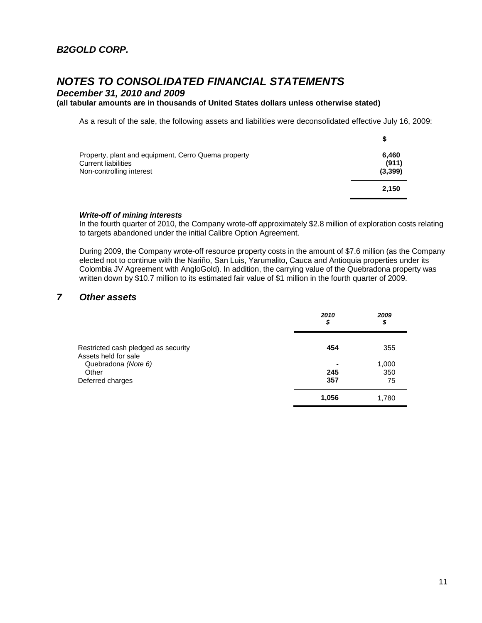*December 31, 2010 and 2009*

#### **(all tabular amounts are in thousands of United States dollars unless otherwise stated)**

As a result of the sale, the following assets and liabilities were deconsolidated effective July 16, 2009:

|                                                                                                        | \$                        |
|--------------------------------------------------------------------------------------------------------|---------------------------|
| Property, plant and equipment, Cerro Quema property<br>Current liabilities<br>Non-controlling interest | 6,460<br>(911)<br>(3,399) |
|                                                                                                        | 2,150                     |

#### *Write-off of mining interests*

In the fourth quarter of 2010, the Company wrote-off approximately \$2.8 million of exploration costs relating to targets abandoned under the initial Calibre Option Agreement.

During 2009, the Company wrote-off resource property costs in the amount of \$7.6 million (as the Company elected not to continue with the Nariño, San Luis, Yarumalito, Cauca and Antioquia properties under its Colombia JV Agreement with AngloGold). In addition, the carrying value of the Quebradona property was written down by \$10.7 million to its estimated fair value of \$1 million in the fourth quarter of 2009.

### *7 Other assets*

|                                                             | 2010<br>\$ | 2009<br>\$         |
|-------------------------------------------------------------|------------|--------------------|
| Restricted cash pledged as security<br>Assets held for sale | 454        | 355                |
| Quebradona (Note 6)<br>Other<br>Deferred charges            | 245<br>357 | 1,000<br>350<br>75 |
|                                                             | 1,056      | 1,780              |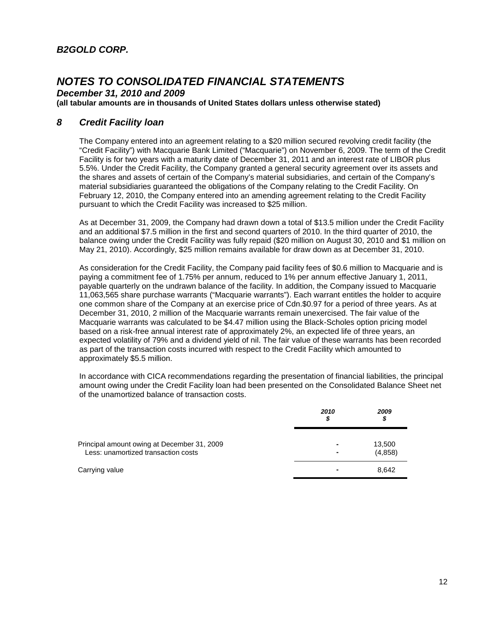*December 31, 2010 and 2009*

**(all tabular amounts are in thousands of United States dollars unless otherwise stated)**

### *8 Credit Facility loan*

The Company entered into an agreement relating to a \$20 million secured revolving credit facility (the "Credit Facility") with Macquarie Bank Limited ("Macquarie") on November 6, 2009. The term of the Credit Facility is for two years with a maturity date of December 31, 2011 and an interest rate of LIBOR plus 5.5%. Under the Credit Facility, the Company granted a general security agreement over its assets and the shares and assets of certain of the Company's material subsidiaries, and certain of the Company's material subsidiaries guaranteed the obligations of the Company relating to the Credit Facility. On February 12, 2010, the Company entered into an amending agreement relating to the Credit Facility pursuant to which the Credit Facility was increased to \$25 million.

As at December 31, 2009, the Company had drawn down a total of \$13.5 million under the Credit Facility and an additional \$7.5 million in the first and second quarters of 2010. In the third quarter of 2010, the balance owing under the Credit Facility was fully repaid (\$20 million on August 30, 2010 and \$1 million on May 21, 2010). Accordingly, \$25 million remains available for draw down as at December 31, 2010.

As consideration for the Credit Facility, the Company paid facility fees of \$0.6 million to Macquarie and is paying a commitment fee of 1.75% per annum, reduced to 1% per annum effective January 1, 2011, payable quarterly on the undrawn balance of the facility. In addition, the Company issued to Macquarie 11,063,565 share purchase warrants ("Macquarie warrants"). Each warrant entitles the holder to acquire one common share of the Company at an exercise price of Cdn.\$0.97 for a period of three years. As at December 31, 2010, 2 million of the Macquarie warrants remain unexercised. The fair value of the Macquarie warrants was calculated to be \$4.47 million using the Black-Scholes option pricing model based on a risk-free annual interest rate of approximately 2%, an expected life of three years, an expected volatility of 79% and a dividend yield of nil. The fair value of these warrants has been recorded as part of the transaction costs incurred with respect to the Credit Facility which amounted to approximately \$5.5 million.

In accordance with CICA recommendations regarding the presentation of financial liabilities, the principal amount owing under the Credit Facility loan had been presented on the Consolidated Balance Sheet net of the unamortized balance of transaction costs.

|                                                                                    | 2010<br>S                        | 2009<br>S         |  |
|------------------------------------------------------------------------------------|----------------------------------|-------------------|--|
| Principal amount owing at December 31, 2009<br>Less: unamortized transaction costs | $\blacksquare$<br>$\blacksquare$ | 13,500<br>(4,858) |  |
| Carrying value                                                                     | $\blacksquare$                   | 8,642             |  |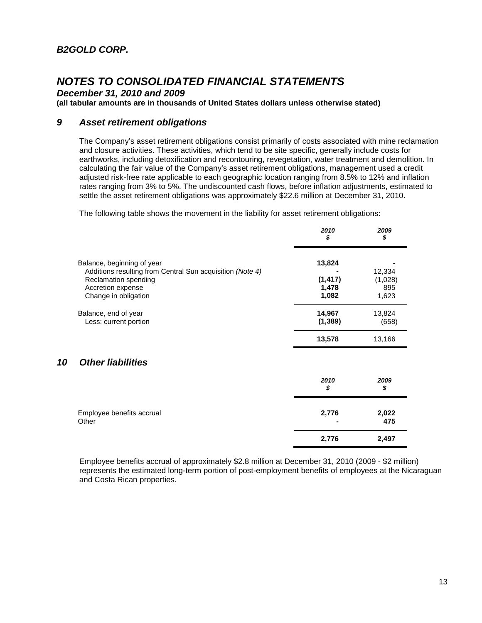*December 31, 2010 and 2009*

**(all tabular amounts are in thousands of United States dollars unless otherwise stated)**

### *9 Asset retirement obligations*

The Company's asset retirement obligations consist primarily of costs associated with mine reclamation and closure activities. These activities, which tend to be site specific, generally include costs for earthworks, including detoxification and recontouring, revegetation, water treatment and demolition. In calculating the fair value of the Company's asset retirement obligations, management used a credit adjusted risk-free rate applicable to each geographic location ranging from 8.5% to 12% and inflation rates ranging from 3% to 5%. The undiscounted cash flows, before inflation adjustments, estimated to settle the asset retirement obligations was approximately \$22.6 million at December 31, 2010.

The following table shows the movement in the liability for asset retirement obligations:

|    |                                                                                                                                                              | 2010<br>\$                           | 2009<br>\$                        |
|----|--------------------------------------------------------------------------------------------------------------------------------------------------------------|--------------------------------------|-----------------------------------|
|    | Balance, beginning of year<br>Additions resulting from Central Sun acquisition (Note 4)<br>Reclamation spending<br>Accretion expense<br>Change in obligation | 13,824<br>(1, 417)<br>1,478<br>1,082 | 12,334<br>(1,028)<br>895<br>1,623 |
|    | Balance, end of year<br>Less: current portion                                                                                                                | 14,967<br>(1, 389)                   | 13,824<br>(658)                   |
|    |                                                                                                                                                              | 13,578                               | 13,166                            |
| 10 | <b>Other liabilities</b>                                                                                                                                     |                                      |                                   |
|    |                                                                                                                                                              | 2010<br>\$                           | 2009<br>\$                        |
|    | Employee benefits accrual<br>Other                                                                                                                           | 2,776                                | 2,022<br>475                      |
|    |                                                                                                                                                              | 2,776                                | 2,497                             |

Employee benefits accrual of approximately \$2.8 million at December 31, 2010 (2009 - \$2 million) represents the estimated long-term portion of post-employment benefits of employees at the Nicaraguan and Costa Rican properties.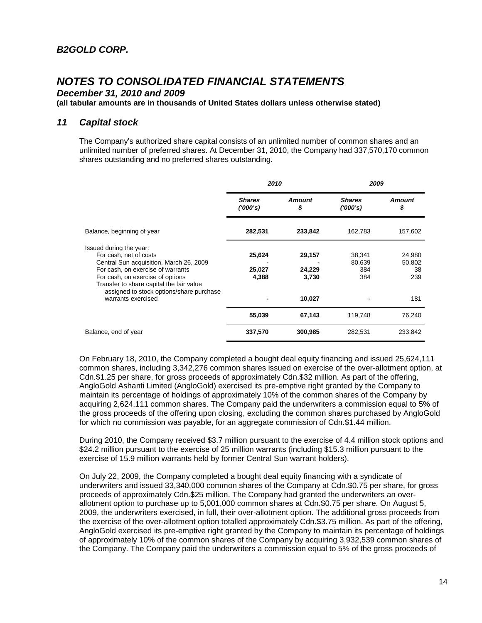*December 31, 2010 and 2009*

**(all tabular amounts are in thousands of United States dollars unless otherwise stated)**

### *11 Capital stock*

The Company's authorized share capital consists of an unlimited number of common shares and an unlimited number of preferred shares. At December 31, 2010, the Company had 337,570,170 common shares outstanding and no preferred shares outstanding.

|                                                                                                                                                                                                                   | 2010                      |                           | 2009                           |                               |
|-------------------------------------------------------------------------------------------------------------------------------------------------------------------------------------------------------------------|---------------------------|---------------------------|--------------------------------|-------------------------------|
|                                                                                                                                                                                                                   | <b>Shares</b><br>(000's)  | <b>Amount</b><br>\$       | <b>Shares</b><br>(1000's)      | <b>Amount</b><br>\$           |
| Balance, beginning of year                                                                                                                                                                                        | 282,531                   | 233,842                   | 162,783                        | 157,602                       |
| Issued during the year:<br>For cash, net of costs<br>Central Sun acquisition, March 26, 2009<br>For cash, on exercise of warrants<br>For cash, on exercise of options<br>Transfer to share capital the fair value | 25,624<br>25,027<br>4,388 | 29,157<br>24,229<br>3,730 | 38,341<br>80,639<br>384<br>384 | 24,980<br>50,802<br>38<br>239 |
| assigned to stock options/share purchase<br>warrants exercised                                                                                                                                                    |                           | 10,027                    |                                | 181                           |
|                                                                                                                                                                                                                   | 55,039                    | 67,143                    | 119,748                        | 76,240                        |
| Balance, end of year                                                                                                                                                                                              | 337,570                   | 300,985                   | 282,531                        | 233,842                       |

On February 18, 2010, the Company completed a bought deal equity financing and issued 25,624,111 common shares, including 3,342,276 common shares issued on exercise of the over-allotment option, at Cdn.\$1.25 per share, for gross proceeds of approximately Cdn.\$32 million. As part of the offering, AngloGold Ashanti Limited (AngloGold) exercised its pre-emptive right granted by the Company to maintain its percentage of holdings of approximately 10% of the common shares of the Company by acquiring 2,624,111 common shares. The Company paid the underwriters a commission equal to 5% of the gross proceeds of the offering upon closing, excluding the common shares purchased by AngloGold for which no commission was payable, for an aggregate commission of Cdn.\$1.44 million.

During 2010, the Company received \$3.7 million pursuant to the exercise of 4.4 million stock options and \$24.2 million pursuant to the exercise of 25 million warrants (including \$15.3 million pursuant to the exercise of 15.9 million warrants held by former Central Sun warrant holders).

On July 22, 2009, the Company completed a bought deal equity financing with a syndicate of underwriters and issued 33,340,000 common shares of the Company at Cdn.\$0.75 per share, for gross proceeds of approximately Cdn.\$25 million. The Company had granted the underwriters an overallotment option to purchase up to 5,001,000 common shares at Cdn.\$0.75 per share. On August 5, 2009, the underwriters exercised, in full, their over-allotment option. The additional gross proceeds from the exercise of the over-allotment option totalled approximately Cdn.\$3.75 million. As part of the offering, AngloGold exercised its pre-emptive right granted by the Company to maintain its percentage of holdings of approximately 10% of the common shares of the Company by acquiring 3,932,539 common shares of the Company. The Company paid the underwriters a commission equal to 5% of the gross proceeds of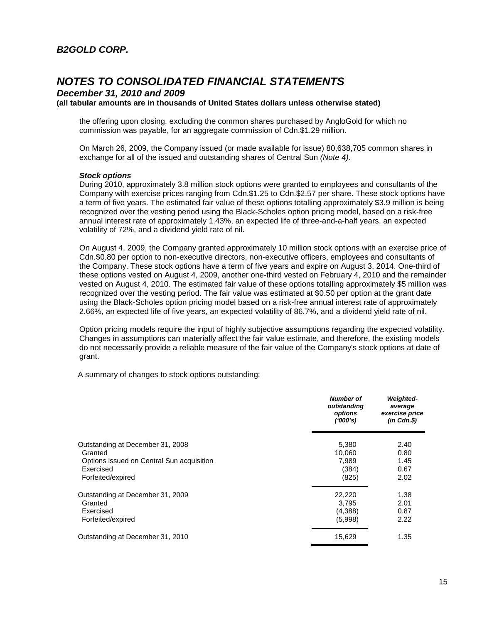*December 31, 2010 and 2009*

**(all tabular amounts are in thousands of United States dollars unless otherwise stated)**

the offering upon closing, excluding the common shares purchased by AngloGold for which no commission was payable, for an aggregate commission of Cdn.\$1.29 million.

On March 26, 2009, the Company issued (or made available for issue) 80,638,705 common shares in exchange for all of the issued and outstanding shares of Central Sun *(Note 4)*.

#### *Stock options*

During 2010, approximately 3.8 million stock options were granted to employees and consultants of the Company with exercise prices ranging from Cdn.\$1.25 to Cdn.\$2.57 per share. These stock options have a term of five years. The estimated fair value of these options totalling approximately \$3.9 million is being recognized over the vesting period using the Black-Scholes option pricing model, based on a risk-free annual interest rate of approximately 1.43%, an expected life of three-and-a-half years, an expected volatility of 72%, and a dividend yield rate of nil.

On August 4, 2009, the Company granted approximately 10 million stock options with an exercise price of Cdn.\$0.80 per option to non-executive directors, non-executive officers, employees and consultants of the Company. These stock options have a term of five years and expire on August 3, 2014. One-third of these options vested on August 4, 2009, another one-third vested on February 4, 2010 and the remainder vested on August 4, 2010. The estimated fair value of these options totalling approximately \$5 million was recognized over the vesting period. The fair value was estimated at \$0.50 per option at the grant date using the Black-Scholes option pricing model based on a risk-free annual interest rate of approximately 2.66%, an expected life of five years, an expected volatility of 86.7%, and a dividend yield rate of nil.

Option pricing models require the input of highly subjective assumptions regarding the expected volatility. Changes in assumptions can materially affect the fair value estimate, and therefore, the existing models do not necessarily provide a reliable measure of the fair value of the Company's stock options at date of grant.

A summary of changes to stock options outstanding:

|                                                        | <b>Number of</b><br>outstanding<br>options<br>(1000's) | <b>Weighted-</b><br>average<br>exercise price<br>$(in$ $Cdn.S)$ |
|--------------------------------------------------------|--------------------------------------------------------|-----------------------------------------------------------------|
| Outstanding at December 31, 2008<br>Granted            | 5,380<br>10,060                                        | 2.40<br>0.80                                                    |
| Options issued on Central Sun acquisition<br>Exercised | 7.989<br>(384)                                         | 1.45<br>0.67                                                    |
| Forfeited/expired                                      | (825)                                                  | 2.02                                                            |
| Outstanding at December 31, 2009                       | 22,220                                                 | 1.38                                                            |
| Granted                                                | 3.795                                                  | 2.01                                                            |
| Exercised                                              | (4,388)                                                | 0.87                                                            |
| Forfeited/expired                                      | (5,998)                                                | 2.22                                                            |
| Outstanding at December 31, 2010                       | 15,629                                                 | 1.35                                                            |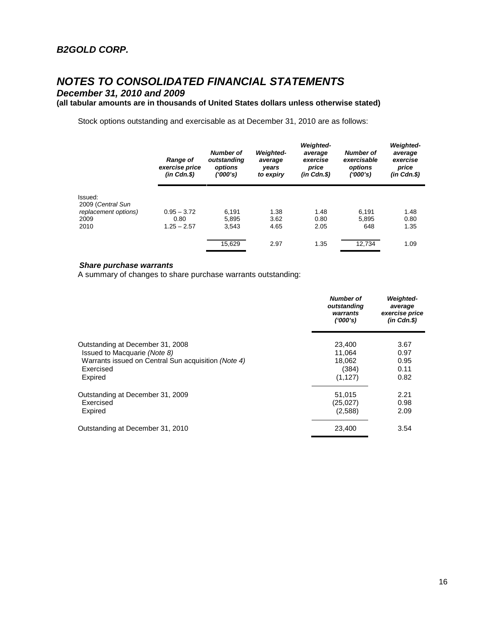## *B2GOLD CORP.*

# *NOTES TO CONSOLIDATED FINANCIAL STATEMENTS*

*December 31, 2010 and 2009*

**(all tabular amounts are in thousands of United States dollars unless otherwise stated)**

Stock options outstanding and exercisable as at December 31, 2010 are as follows:

|                                                                      | <b>Range of</b><br>exercise price<br>$(in$ $Cdn.S)$ | <b>Number of</b><br>outstanding<br>options<br>('000's) | <b>Weighted-</b><br>average<br>years<br>to expiry | <b>Weighted-</b><br>average<br>exercise<br>price<br>$(in$ $Cdn.S)$ | Number of<br>exercisable<br>options<br>(1000's) | <b>Weighted-</b><br>average<br>exercise<br>price<br>$(in$ $Cdn.S)$ |
|----------------------------------------------------------------------|-----------------------------------------------------|--------------------------------------------------------|---------------------------------------------------|--------------------------------------------------------------------|-------------------------------------------------|--------------------------------------------------------------------|
| Issued:<br>2009 (Central Sun<br>replacement options)<br>2009<br>2010 | $0.95 - 3.72$<br>0.80<br>$1.25 - 2.57$              | 6,191<br>5,895<br>3,543                                | 1.38<br>3.62<br>4.65                              | 1.48<br>0.80<br>2.05                                               | 6.191<br>5.895<br>648                           | 1.48<br>0.80<br>1.35                                               |
|                                                                      |                                                     | 15,629                                                 | 2.97                                              | 1.35                                                               | 12,734                                          | 1.09                                                               |

#### *Share purchase warrants*

A summary of changes to share purchase warrants outstanding:

|                                                     | <b>Number of</b><br>outstanding<br>warrants<br>(1000's) | <b>Weighted-</b><br>average<br>exercise price<br>$(in$ $Cdn.S)$ |
|-----------------------------------------------------|---------------------------------------------------------|-----------------------------------------------------------------|
| Outstanding at December 31, 2008                    | 23,400                                                  | 3.67                                                            |
| Issued to Macquarie (Note 8)                        | 11.064                                                  | 0.97                                                            |
| Warrants issued on Central Sun acquisition (Note 4) | 18,062                                                  | 0.95                                                            |
| Exercised                                           | (384)                                                   | 0.11                                                            |
| Expired                                             | (1, 127)                                                | 0.82                                                            |
| Outstanding at December 31, 2009                    | 51,015                                                  | 2.21                                                            |
| Exercised                                           | (25,027)                                                | 0.98                                                            |
| Expired                                             | (2,588)                                                 | 2.09                                                            |
| Outstanding at December 31, 2010                    | 23,400                                                  | 3.54                                                            |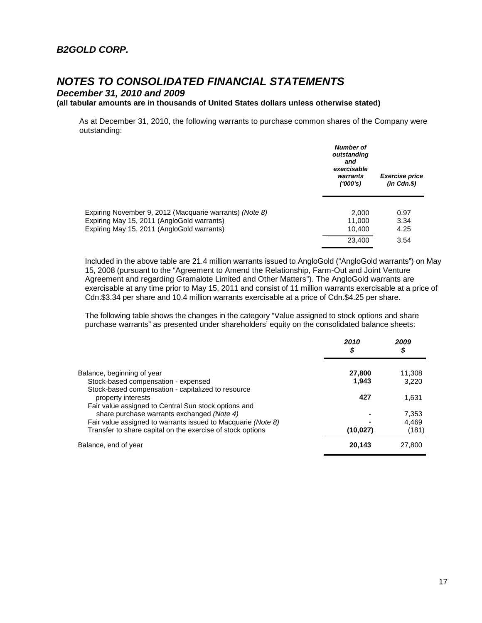*December 31, 2010 and 2009*

#### **(all tabular amounts are in thousands of United States dollars unless otherwise stated)**

As at December 31, 2010, the following warrants to purchase common shares of the Company were outstanding:

|                                                                                                                                                     | <b>Number of</b><br>outstanding<br>and<br>exercisable<br>warrants<br>(000's) | <b>Exercise price</b><br>$(in$ $Cdn.S)$ |
|-----------------------------------------------------------------------------------------------------------------------------------------------------|------------------------------------------------------------------------------|-----------------------------------------|
| Expiring November 9, 2012 (Macquarie warrants) (Note 8)<br>Expiring May 15, 2011 (AngloGold warrants)<br>Expiring May 15, 2011 (AngloGold warrants) | 2,000<br>11,000<br>10.400                                                    | 0.97<br>3.34<br>4.25                    |
|                                                                                                                                                     | 23,400                                                                       | 3.54                                    |

Included in the above table are 21.4 million warrants issued to AngloGold ("AngloGold warrants") on May 15, 2008 (pursuant to the "Agreement to Amend the Relationship, Farm-Out and Joint Venture Agreement and regarding Gramalote Limited and Other Matters"). The AngloGold warrants are exercisable at any time prior to May 15, 2011 and consist of 11 million warrants exercisable at a price of Cdn.\$3.34 per share and 10.4 million warrants exercisable at a price of Cdn.\$4.25 per share.

The following table shows the changes in the category "Value assigned to stock options and share purchase warrants" as presented under shareholders' equity on the consolidated balance sheets:

|                                                                                                                                  | 2010<br>\$ | 2009<br>\$ |
|----------------------------------------------------------------------------------------------------------------------------------|------------|------------|
| Balance, beginning of year                                                                                                       | 27,800     | 11.308     |
| Stock-based compensation - expensed                                                                                              | 1.943      | 3.220      |
| Stock-based compensation - capitalized to resource<br>property interests<br>Fair value assigned to Central Sun stock options and | 427        | 1,631      |
| share purchase warrants exchanged (Note 4)                                                                                       |            | 7,353      |
| Fair value assigned to warrants issued to Macquarie (Note 8)                                                                     |            | 4.469      |
| Transfer to share capital on the exercise of stock options                                                                       | (10.027)   | (181)      |
| Balance, end of year                                                                                                             | 20.143     | 27,800     |
|                                                                                                                                  |            |            |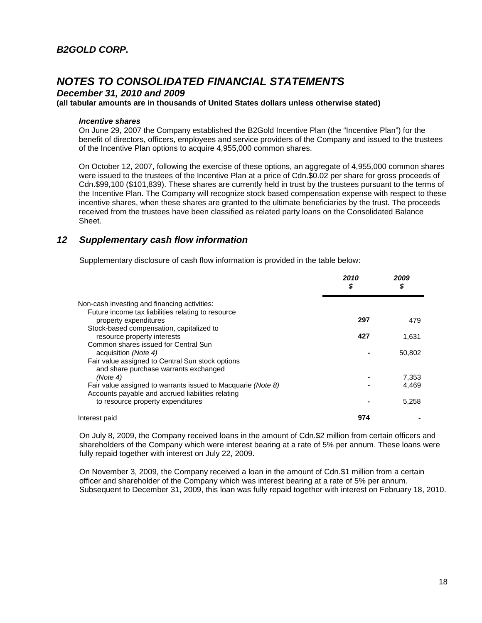*December 31, 2010 and 2009*

**(all tabular amounts are in thousands of United States dollars unless otherwise stated)**

#### *Incentive shares*

On June 29, 2007 the Company established the B2Gold Incentive Plan (the "Incentive Plan") for the benefit of directors, officers, employees and service providers of the Company and issued to the trustees of the Incentive Plan options to acquire 4,955,000 common shares.

On October 12, 2007, following the exercise of these options, an aggregate of 4,955,000 common shares were issued to the trustees of the Incentive Plan at a price of Cdn.\$0.02 per share for gross proceeds of Cdn.\$99,100 (\$101,839). These shares are currently held in trust by the trustees pursuant to the terms of the Incentive Plan. The Company will recognize stock based compensation expense with respect to these incentive shares, when these shares are granted to the ultimate beneficiaries by the trust. The proceeds received from the trustees have been classified as related party loans on the Consolidated Balance Sheet.

## *12 Supplementary cash flow information*

Supplementary disclosure of cash flow information is provided in the table below:

|                                                              | 2010<br>\$ | 2009<br>\$ |
|--------------------------------------------------------------|------------|------------|
| Non-cash investing and financing activities:                 |            |            |
| Future income tax liabilities relating to resource           |            |            |
| property expenditures                                        | 297        | 479        |
| Stock-based compensation, capitalized to                     |            |            |
| resource property interests                                  | 427        | 1,631      |
| Common shares issued for Central Sun                         |            |            |
| acquisition (Note 4)                                         |            | 50,802     |
| Fair value assigned to Central Sun stock options             |            |            |
| and share purchase warrants exchanged                        |            |            |
| (Note 4)                                                     |            | 7,353      |
| Fair value assigned to warrants issued to Macquarie (Note 8) |            | 4,469      |
| Accounts payable and accrued liabilities relating            |            |            |
| to resource property expenditures                            |            | 5,258      |
| Interest paid                                                | 974        |            |

On July 8, 2009, the Company received loans in the amount of Cdn.\$2 million from certain officers and shareholders of the Company which were interest bearing at a rate of 5% per annum. These loans were fully repaid together with interest on July 22, 2009.

On November 3, 2009, the Company received a loan in the amount of Cdn.\$1 million from a certain officer and shareholder of the Company which was interest bearing at a rate of 5% per annum. Subsequent to December 31, 2009, this loan was fully repaid together with interest on February 18, 2010.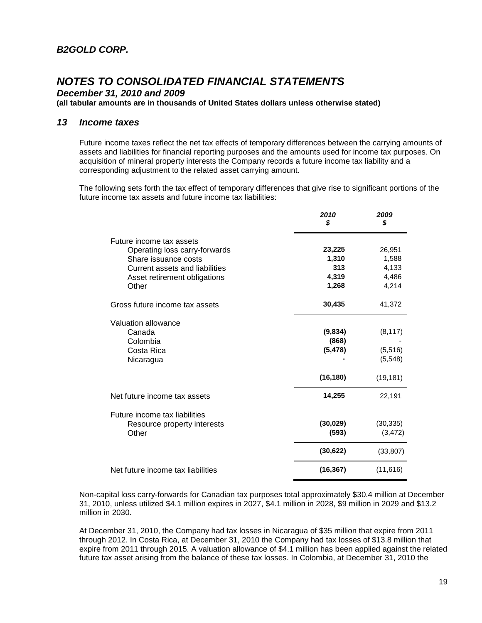*December 31, 2010 and 2009*

**(all tabular amounts are in thousands of United States dollars unless otherwise stated)**

### *13 Income taxes*

Future income taxes reflect the net tax effects of temporary differences between the carrying amounts of assets and liabilities for financial reporting purposes and the amounts used for income tax purposes. On acquisition of mineral property interests the Company records a future income tax liability and a corresponding adjustment to the related asset carrying amount.

The following sets forth the tax effect of temporary differences that give rise to significant portions of the future income tax assets and future income tax liabilities:

|                                                       | 2010<br>S       | 2009<br>\$      |
|-------------------------------------------------------|-----------------|-----------------|
| Future income tax assets                              |                 |                 |
| Operating loss carry-forwards<br>Share issuance costs | 23,225<br>1,310 | 26,951<br>1,588 |
| <b>Current assets and liabilities</b>                 | 313             | 4,133           |
|                                                       | 4,319           | 4,486           |
| Asset retirement obligations<br>Other                 | 1,268           | 4,214           |
| Gross future income tax assets                        | 30,435          | 41,372          |
| Valuation allowance                                   |                 |                 |
| Canada                                                | (9,834)         | (8, 117)        |
| Colombia                                              | (868)           |                 |
| Costa Rica                                            | (5, 478)        | (5, 516)        |
| Nicaragua                                             |                 | (5,548)         |
|                                                       | (16, 180)       | (19, 181)       |
| Net future income tax assets                          | 14,255          | 22,191          |
| Future income tax liabilities                         |                 |                 |
| Resource property interests                           | (30, 029)       | (30, 335)       |
| Other                                                 | (593)           | (3, 472)        |
|                                                       | (30, 622)       | (33, 807)       |
| Net future income tax liabilities                     | (16, 367)       | (11, 616)       |

Non-capital loss carry-forwards for Canadian tax purposes total approximately \$30.4 million at December 31, 2010, unless utilized \$4.1 million expires in 2027, \$4.1 million in 2028, \$9 million in 2029 and \$13.2 million in 2030.

At December 31, 2010, the Company had tax losses in Nicaragua of \$35 million that expire from 2011 through 2012. In Costa Rica, at December 31, 2010 the Company had tax losses of \$13.8 million that expire from 2011 through 2015. A valuation allowance of \$4.1 million has been applied against the related future tax asset arising from the balance of these tax losses. In Colombia, at December 31, 2010 the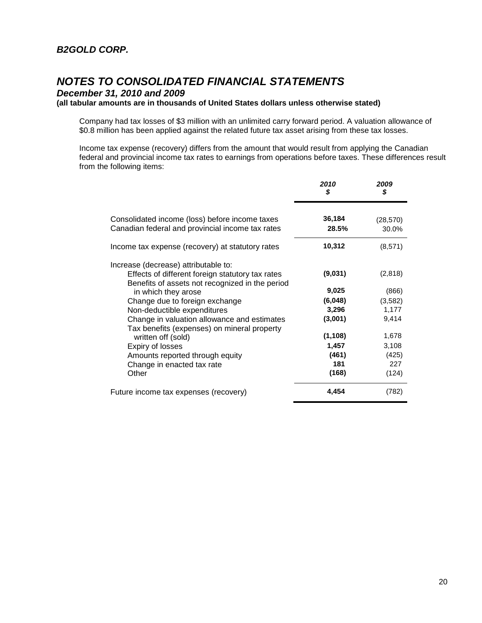## *B2GOLD CORP.*

## *NOTES TO CONSOLIDATED FINANCIAL STATEMENTS*

*December 31, 2010 and 2009*

#### **(all tabular amounts are in thousands of United States dollars unless otherwise stated)**

Company had tax losses of \$3 million with an unlimited carry forward period. A valuation allowance of \$0.8 million has been applied against the related future tax asset arising from these tax losses.

Income tax expense (recovery) differs from the amount that would result from applying the Canadian federal and provincial income tax rates to earnings from operations before taxes. These differences result from the following items:

|                                                                                                                                                                                                                                                                                                                                                         | 2010<br>\$                                                  | 2009<br>\$                                             |
|---------------------------------------------------------------------------------------------------------------------------------------------------------------------------------------------------------------------------------------------------------------------------------------------------------------------------------------------------------|-------------------------------------------------------------|--------------------------------------------------------|
| Consolidated income (loss) before income taxes<br>Canadian federal and provincial income tax rates                                                                                                                                                                                                                                                      | 36,184<br>28.5%                                             | (28, 570)<br>30.0%                                     |
| Income tax expense (recovery) at statutory rates                                                                                                                                                                                                                                                                                                        | 10,312                                                      | (8,571)                                                |
| Increase (decrease) attributable to:<br>Effects of different foreign statutory tax rates<br>Benefits of assets not recognized in the period<br>in which they arose<br>Change due to foreign exchange<br>Non-deductible expenditures<br>Change in valuation allowance and estimates<br>Tax benefits (expenses) on mineral property<br>written off (sold) | (9,031)<br>9,025<br>(6,048)<br>3,296<br>(3,001)<br>(1, 108) | (2,818)<br>(866)<br>(3,582)<br>1,177<br>9,414<br>1,678 |
| Expiry of losses<br>Amounts reported through equity<br>Change in enacted tax rate<br>Other                                                                                                                                                                                                                                                              | 1,457<br>(461)<br>181<br>(168)                              | 3,108<br>(425)<br>227<br>(124)                         |
| Future income tax expenses (recovery)                                                                                                                                                                                                                                                                                                                   | 4,454                                                       | (782)                                                  |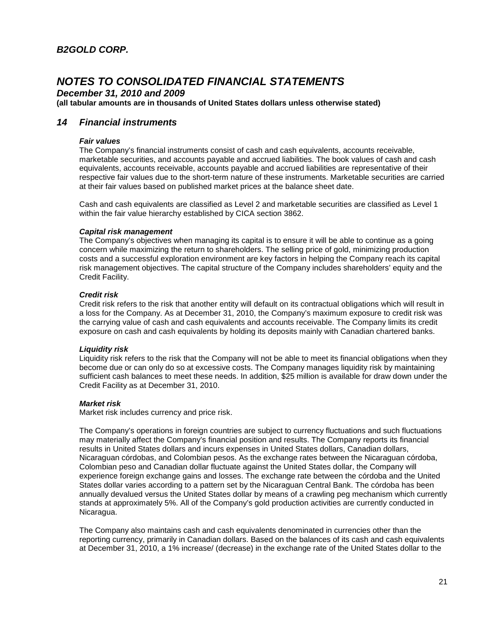*December 31, 2010 and 2009*

**(all tabular amounts are in thousands of United States dollars unless otherwise stated)**

### *14 Financial instruments*

#### *Fair values*

The Company's financial instruments consist of cash and cash equivalents, accounts receivable, marketable securities, and accounts payable and accrued liabilities. The book values of cash and cash equivalents, accounts receivable, accounts payable and accrued liabilities are representative of their respective fair values due to the short-term nature of these instruments. Marketable securities are carried at their fair values based on published market prices at the balance sheet date.

Cash and cash equivalents are classified as Level 2 and marketable securities are classified as Level 1 within the fair value hierarchy established by CICA section 3862.

#### *Capital risk management*

The Company's objectives when managing its capital is to ensure it will be able to continue as a going concern while maximizing the return to shareholders. The selling price of gold, minimizing production costs and a successful exploration environment are key factors in helping the Company reach its capital risk management objectives. The capital structure of the Company includes shareholders' equity and the Credit Facility.

#### *Credit risk*

Credit risk refers to the risk that another entity will default on its contractual obligations which will result in a loss for the Company. As at December 31, 2010, the Company's maximum exposure to credit risk was the carrying value of cash and cash equivalents and accounts receivable. The Company limits its credit exposure on cash and cash equivalents by holding its deposits mainly with Canadian chartered banks.

#### *Liquidity risk*

Liquidity risk refers to the risk that the Company will not be able to meet its financial obligations when they become due or can only do so at excessive costs. The Company manages liquidity risk by maintaining sufficient cash balances to meet these needs. In addition, \$25 million is available for draw down under the Credit Facility as at December 31, 2010.

#### *Market risk*

Market risk includes currency and price risk.

The Company's operations in foreign countries are subject to currency fluctuations and such fluctuations may materially affect the Company's financial position and results. The Company reports its financial results in United States dollars and incurs expenses in United States dollars, Canadian dollars, Nicaraguan córdobas, and Colombian pesos. As the exchange rates between the Nicaraguan córdoba, Colombian peso and Canadian dollar fluctuate against the United States dollar, the Company will experience foreign exchange gains and losses. The exchange rate between the córdoba and the United States dollar varies according to a pattern set by the Nicaraguan Central Bank. The córdoba has been annually devalued versus the United States dollar by means of a crawling peg mechanism which currently stands at approximately 5%. All of the Company's gold production activities are currently conducted in Nicaragua.

The Company also maintains cash and cash equivalents denominated in currencies other than the reporting currency, primarily in Canadian dollars. Based on the balances of its cash and cash equivalents at December 31, 2010, a 1% increase/ (decrease) in the exchange rate of the United States dollar to the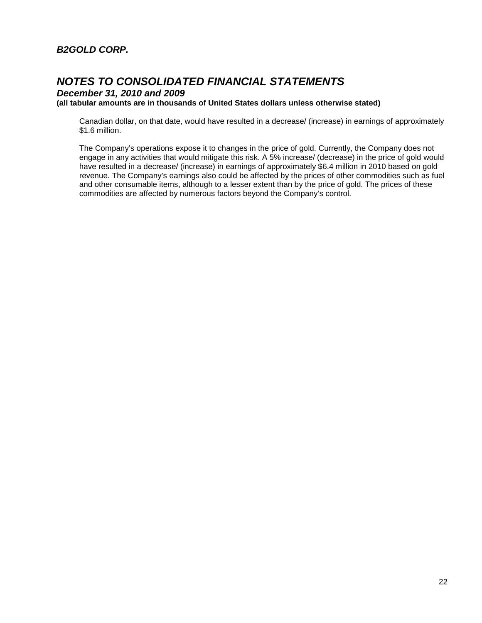## *B2GOLD CORP.*

## *NOTES TO CONSOLIDATED FINANCIAL STATEMENTS*

*December 31, 2010 and 2009*

**(all tabular amounts are in thousands of United States dollars unless otherwise stated)**

Canadian dollar, on that date, would have resulted in a decrease/ (increase) in earnings of approximately \$1.6 million.

The Company's operations expose it to changes in the price of gold. Currently, the Company does not engage in any activities that would mitigate this risk. A 5% increase/ (decrease) in the price of gold would have resulted in a decrease/ (increase) in earnings of approximately \$6.4 million in 2010 based on gold revenue. The Company's earnings also could be affected by the prices of other commodities such as fuel and other consumable items, although to a lesser extent than by the price of gold. The prices of these commodities are affected by numerous factors beyond the Company's control.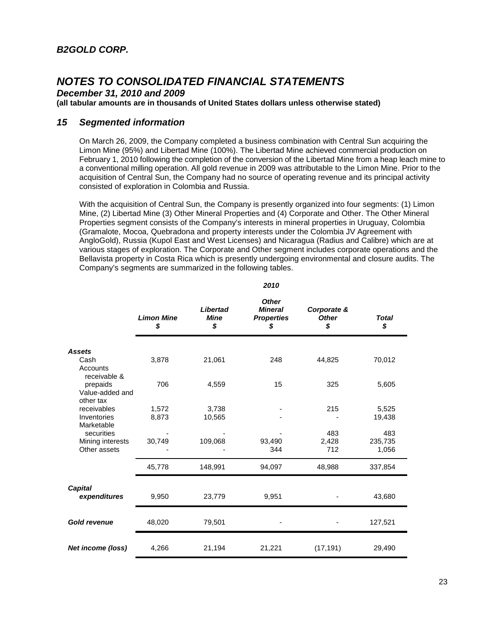*December 31, 2010 and 2009*

**(all tabular amounts are in thousands of United States dollars unless otherwise stated)**

### *15 Segmented information*

On March 26, 2009, the Company completed a business combination with Central Sun acquiring the Limon Mine (95%) and Libertad Mine (100%). The Libertad Mine achieved commercial production on February 1, 2010 following the completion of the conversion of the Libertad Mine from a heap leach mine to a conventional milling operation. All gold revenue in 2009 was attributable to the Limon Mine. Prior to the acquisition of Central Sun, the Company had no source of operating revenue and its principal activity consisted of exploration in Colombia and Russia.

With the acquisition of Central Sun, the Company is presently organized into four segments: (1) Limon Mine, (2) Libertad Mine (3) Other Mineral Properties and (4) Corporate and Other. The Other Mineral Properties segment consists of the Company's interests in mineral properties in Uruguay, Colombia (Gramalote, Mocoa, Quebradona and property interests under the Colombia JV Agreement with AngloGold), Russia (Kupol East and West Licenses) and Nicaragua (Radius and Calibre) which are at various stages of exploration. The Corporate and Other segment includes corporate operations and the Bellavista property in Costa Rica which is presently undergoing environmental and closure audits. The Company's segments are summarized in the following tables.

|                                          | <b>Limon Mine</b><br>\$ | Libertad<br><b>Mine</b><br>\$ | <b>Other</b><br><b>Mineral</b><br><b>Properties</b><br>\$ | Corporate &<br><b>Other</b><br>\$ | <b>Total</b><br>\$ |
|------------------------------------------|-------------------------|-------------------------------|-----------------------------------------------------------|-----------------------------------|--------------------|
| <b>Assets</b>                            |                         |                               |                                                           |                                   |                    |
| Cash<br>Accounts<br>receivable &         | 3,878                   | 21,061                        | 248                                                       | 44,825                            | 70,012             |
| prepaids<br>Value-added and<br>other tax | 706                     | 4,559                         | 15                                                        | 325                               | 5,605              |
| receivables                              | 1,572                   | 3,738                         |                                                           | 215                               | 5,525              |
| Inventories<br>Marketable                | 8,873                   | 10,565                        |                                                           |                                   | 19,438             |
| securities                               |                         |                               |                                                           | 483                               | 483                |
| Mining interests<br>Other assets         | 30,749                  | 109,068                       | 93,490                                                    | 2,428                             | 235,735            |
|                                          |                         |                               | 344                                                       | 712                               | 1,056              |
|                                          | 45,778                  | 148,991                       | 94,097                                                    | 48,988                            | 337,854            |
| <b>Capital</b>                           |                         |                               |                                                           |                                   |                    |
| expenditures                             | 9,950                   | 23,779                        | 9,951                                                     |                                   | 43,680             |
| <b>Gold revenue</b>                      | 48,020                  | 79,501                        |                                                           |                                   | 127,521            |
| Net income (loss)                        | 4,266                   | 21,194                        | 21,221                                                    | (17, 191)                         | 29,490             |

*2010*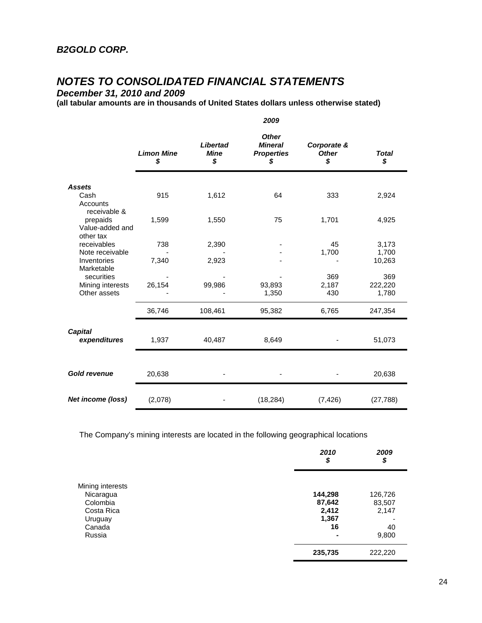*December 31, 2010 and 2009*

**(all tabular amounts are in thousands of United States dollars unless otherwise stated)**

|                                          | <b>Limon Mine</b><br>\$ | Libertad<br><b>Mine</b><br>\$ | <b>Other</b><br><b>Mineral</b><br><b>Properties</b><br>\$ | Corporate &<br><b>Other</b><br>\$ | <b>Total</b><br>\$ |
|------------------------------------------|-------------------------|-------------------------------|-----------------------------------------------------------|-----------------------------------|--------------------|
| <b>Assets</b>                            |                         |                               |                                                           |                                   |                    |
| Cash<br>Accounts<br>receivable &         | 915                     | 1,612                         | 64                                                        | 333                               | 2,924              |
| prepaids<br>Value-added and<br>other tax | 1,599                   | 1,550                         | 75                                                        | 1,701                             | 4,925              |
| receivables                              | 738                     | 2,390                         |                                                           | 45                                | 3,173              |
| Note receivable                          |                         |                               |                                                           | 1,700                             | 1,700              |
| Inventories<br>Marketable                | 7,340                   | 2,923                         |                                                           |                                   | 10,263             |
| securities                               |                         |                               |                                                           | 369                               | 369                |
| Mining interests<br>Other assets         | 26,154                  | 99,986                        | 93,893<br>1,350                                           | 2,187<br>430                      | 222,220<br>1,780   |
|                                          | 36,746                  | 108,461                       | 95,382                                                    | 6,765                             | 247,354            |
| <b>Capital</b><br>expenditures           | 1,937                   | 40,487                        | 8,649                                                     |                                   | 51,073             |
| <b>Gold revenue</b>                      | 20,638                  |                               |                                                           |                                   | 20,638             |
| Net income (loss)                        | (2,078)                 |                               | (18, 284)                                                 | (7, 426)                          | (27, 788)          |

The Company's mining interests are located in the following geographical locations

|                  | 2010<br>\$     | 2009<br>\$ |
|------------------|----------------|------------|
| Mining interests |                |            |
| Nicaragua        | 144,298        | 126,726    |
| Colombia         | 87,642         | 83,507     |
| Costa Rica       | 2,412          | 2,147      |
| Uruguay          | 1,367          |            |
| Canada           | 16             | 40         |
| Russia           | $\blacksquare$ | 9,800      |
|                  | 235,735        | 222,220    |

#### *2009*